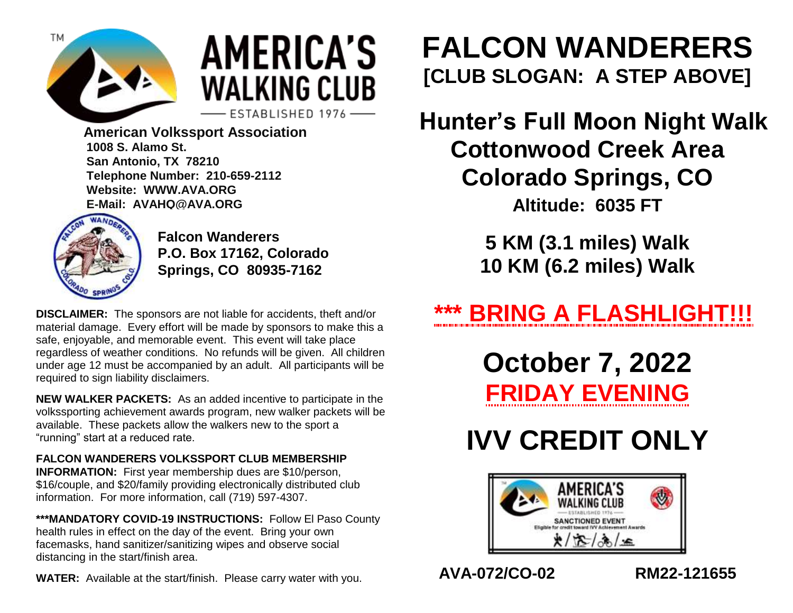

# **AMERICA'S WALKING CLUB**

ESTABLISHED 1976-

 **American Volkssport Association 1008 S. Alamo St. San Antonio, TX 78210 Telephone Number: 210-659-2112 Website: WWW.AVA.ORG E-Mail: AVAHQ@AVA.ORG**



**Falcon Wanderers P.O. Box 17162, Colorado Springs, CO 80935-7162**

**DISCLAIMER:** The sponsors are not liable for accidents, theft and/or material damage. Every effort will be made by sponsors to make this a safe, enjoyable, and memorable event. This event will take place regardless of weather conditions. No refunds will be given. All children under age 12 must be accompanied by an adult. All participants will be required to sign liability disclaimers.

**NEW WALKER PACKETS:** As an added incentive to participate in the volkssporting achievement awards program, new walker packets will be available. These packets allow the walkers new to the sport a "running" start at a reduced rate.

#### **FALCON WANDERERS VOLKSSPORT CLUB MEMBERSHIP**

**INFORMATION:** First year membership dues are \$10/person, \$16/couple, and \$20/family providing electronically distributed club information. For more information, call (719) 597-4307.

**\*\*\*MANDATORY COVID-19 INSTRUCTIONS:** Follow El Paso County health rules in effect on the day of the event. Bring your own facemasks, hand sanitizer/sanitizing wipes and observe social distancing in the start/finish area.

**WATER:** Available at the start/finish. Please carry water with you.

### **FALCON WANDERERS [CLUB SLOGAN: A STEP ABOVE]**

**Hunter's Full Moon Night Walk Cottonwood Creek Area Colorado Springs, CO Altitude: 6035 FT**

> **5 KM (3.1 miles) Walk 10 KM (6.2 miles) Walk**

**\*\*\* BRING A FLASHLIGHT!!!**

**October 7, 2022 FRIDAY EVENING**

## **IVV CREDIT ONLY**



**AVA-072/CO-02 RM22-121655**